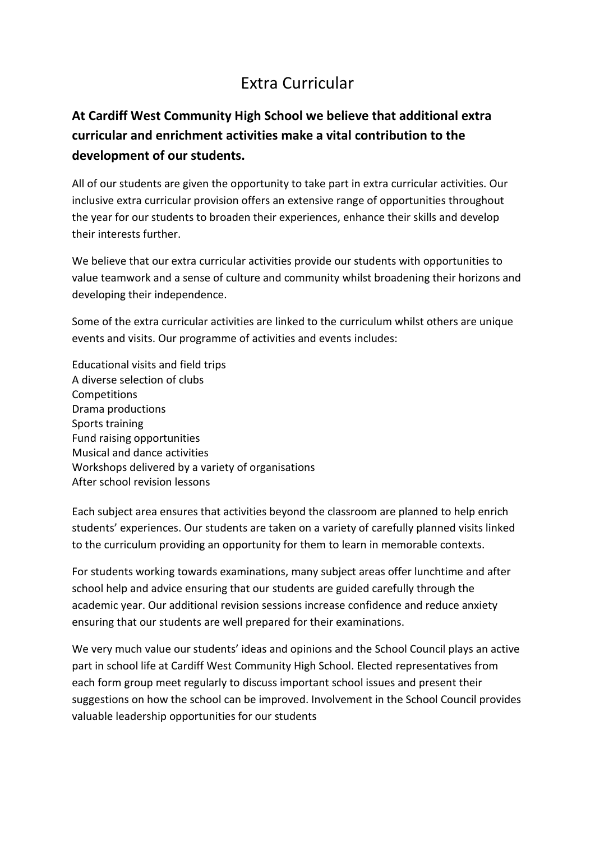## Extra Curricular

## **At Cardiff West Community High School we believe that additional extra curricular and enrichment activities make a vital contribution to the development of our students.**

All of our students are given the opportunity to take part in extra curricular activities. Our inclusive extra curricular provision offers an extensive range of opportunities throughout the year for our students to broaden their experiences, enhance their skills and develop their interests further.

We believe that our extra curricular activities provide our students with opportunities to value teamwork and a sense of culture and community whilst broadening their horizons and developing their independence.

Some of the extra curricular activities are linked to the curriculum whilst others are unique events and visits. Our programme of activities and events includes:

Educational visits and field trips A diverse selection of clubs **Competitions** Drama productions Sports training Fund raising opportunities Musical and dance activities Workshops delivered by a variety of organisations After school revision lessons

Each subject area ensures that activities beyond the classroom are planned to help enrich students' experiences. Our students are taken on a variety of carefully planned visits linked to the curriculum providing an opportunity for them to learn in memorable contexts.

For students working towards examinations, many subject areas offer lunchtime and after school help and advice ensuring that our students are guided carefully through the academic year. Our additional revision sessions increase confidence and reduce anxiety ensuring that our students are well prepared for their examinations.

We very much value our students' ideas and opinions and the School Council plays an active part in school life at Cardiff West Community High School. Elected representatives from each form group meet regularly to discuss important school issues and present their suggestions on how the school can be improved. Involvement in the School Council provides valuable leadership opportunities for our students